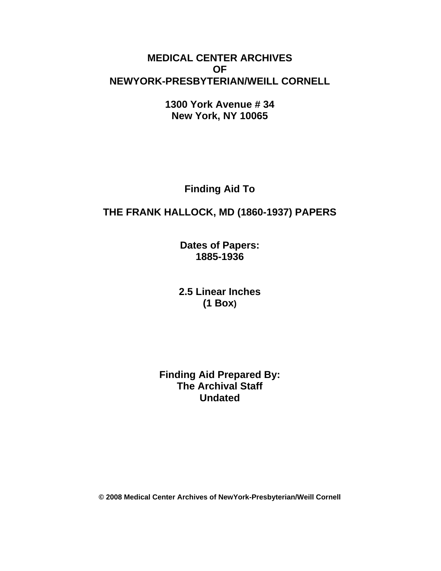## **MEDICAL CENTER ARCHIVES OF NEWYORK-PRESBYTERIAN/WEILL CORNELL**

**1300 York Avenue # 34 New York, NY 10065** 

**Finding Aid To** 

# **THE FRANK HALLOCK, MD (1860-1937) PAPERS**

**Dates of Papers: 1885-1936** 

**2.5 Linear Inches (1 Box)** 

**Finding Aid Prepared By: The Archival Staff Undated**

**© 2008 Medical Center Archives of NewYork-Presbyterian/Weill Cornell**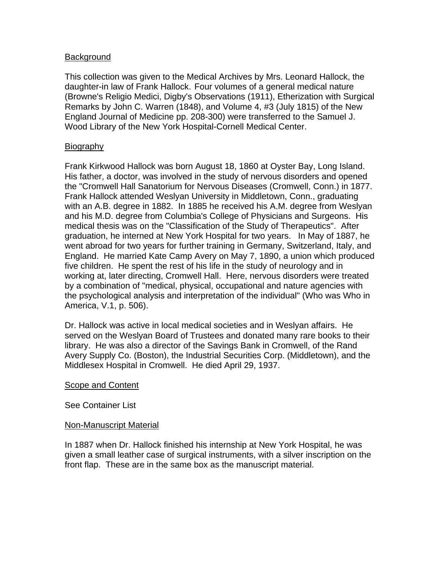### Background

This collection was given to the Medical Archives by Mrs. Leonard Hallock, the daughter-in law of Frank Hallock. Four volumes of a general medical nature (Browne's Religio Medici, Digby's Observations (1911), Etherization with Surgical Remarks by John C. Warren (1848), and Volume 4, #3 (July 1815) of the New England Journal of Medicine pp. 208-300) were transferred to the Samuel J. Wood Library of the New York Hospital-Cornell Medical Center.

#### Biography

Frank Kirkwood Hallock was born August 18, 1860 at Oyster Bay, Long Island. His father, a doctor, was involved in the study of nervous disorders and opened the "Cromwell Hall Sanatorium for Nervous Diseases (Cromwell, Conn.) in 1877. Frank Hallock attended Weslyan University in Middletown, Conn., graduating with an A.B. degree in 1882. In 1885 he received his A.M. degree from Weslyan and his M.D. degree from Columbia's College of Physicians and Surgeons. His medical thesis was on the "Classification of the Study of Therapeutics". After graduation, he interned at New York Hospital for two years. In May of 1887, he went abroad for two years for further training in Germany, Switzerland, Italy, and England. He married Kate Camp Avery on May 7, 1890, a union which produced five children. He spent the rest of his life in the study of neurology and in working at, later directing, Cromwell Hall. Here, nervous disorders were treated by a combination of "medical, physical, occupational and nature agencies with the psychological analysis and interpretation of the individual" (Who was Who in America, V.1, p. 506).

Dr. Hallock was active in local medical societies and in Weslyan affairs. He served on the Weslyan Board of Trustees and donated many rare books to their library. He was also a director of the Savings Bank in Cromwell, of the Rand Avery Supply Co. (Boston), the Industrial Securities Corp. (Middletown), and the Middlesex Hospital in Cromwell. He died April 29, 1937.

#### Scope and Content

See Container List

#### Non-Manuscript Material

In 1887 when Dr. Hallock finished his internship at New York Hospital, he was given a small leather case of surgical instruments, with a silver inscription on the front flap. These are in the same box as the manuscript material.